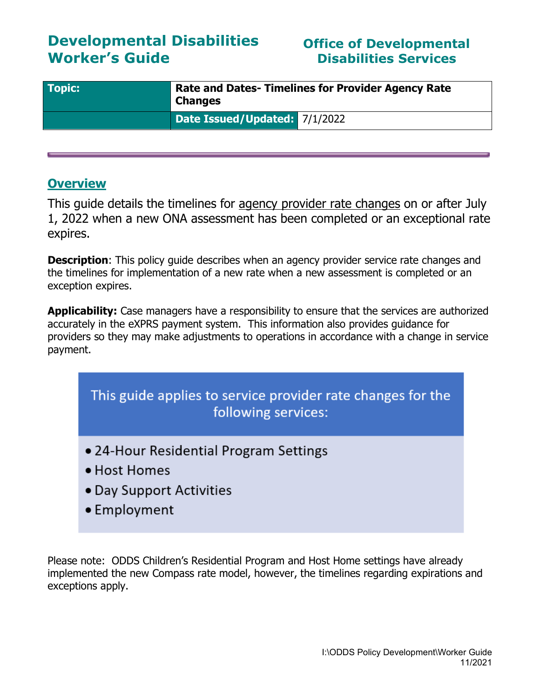# **Developmental Disabilities Worker's Guide**

## **Office of Developmental Disabilities Services**

| <b>Topic:</b> | <b>Rate and Dates- Timelines for Provider Agency Rate</b><br><b>Changes</b> |  |
|---------------|-----------------------------------------------------------------------------|--|
|               | Date Issued/Updated: 7/1/2022                                               |  |

### **Overview**

This guide details the timelines for agency provider rate changes on or after July 1, 2022 when a new ONA assessment has been completed or an exceptional rate expires.

**Description:** This policy guide describes when an agency provider service rate changes and the timelines for implementation of a new rate when a new assessment is completed or an exception expires.

**Applicability:** Case managers have a responsibility to ensure that the services are authorized accurately in the eXPRS payment system. This information also provides guidance for providers so they may make adjustments to operations in accordance with a change in service payment.

This guide applies to service provider rate changes for the following services:

- 24-Hour Residential Program Settings
- Host Homes
- Day Support Activities
- Employment

Please note: ODDS Children's Residential Program and Host Home settings have already implemented the new Compass rate model, however, the timelines regarding expirations and exceptions apply.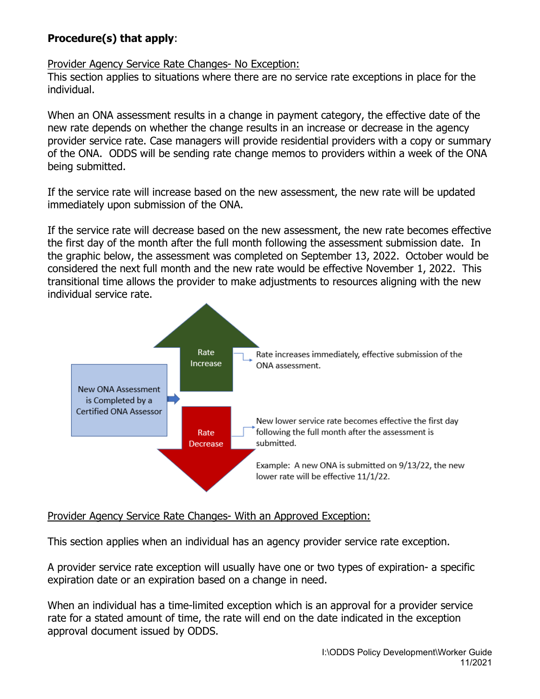### **Procedure(s) that apply**:

#### Provider Agency Service Rate Changes- No Exception:

This section applies to situations where there are no service rate exceptions in place for the individual.

When an ONA assessment results in a change in payment category, the effective date of the new rate depends on whether the change results in an increase or decrease in the agency provider service rate. Case managers will provide residential providers with a copy or summary of the ONA. ODDS will be sending rate change memos to providers within a week of the ONA being submitted.

If the service rate will increase based on the new assessment, the new rate will be updated immediately upon submission of the ONA.

If the service rate will decrease based on the new assessment, the new rate becomes effective the first day of the month after the full month following the assessment submission date. In the graphic below, the assessment was completed on September 13, 2022. October would be considered the next full month and the new rate would be effective November 1, 2022. This transitional time allows the provider to make adjustments to resources aligning with the new individual service rate.



#### Provider Agency Service Rate Changes- With an Approved Exception:

This section applies when an individual has an agency provider service rate exception.

A provider service rate exception will usually have one or two types of expiration- a specific expiration date or an expiration based on a change in need.

When an individual has a time-limited exception which is an approval for a provider service rate for a stated amount of time, the rate will end on the date indicated in the exception approval document issued by ODDS.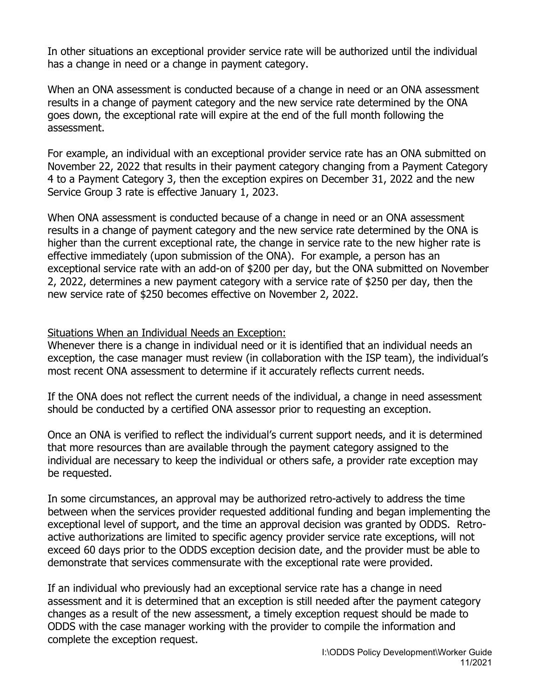In other situations an exceptional provider service rate will be authorized until the individual has a change in need or a change in payment category.

When an ONA assessment is conducted because of a change in need or an ONA assessment results in a change of payment category and the new service rate determined by the ONA goes down, the exceptional rate will expire at the end of the full month following the assessment.

For example, an individual with an exceptional provider service rate has an ONA submitted on November 22, 2022 that results in their payment category changing from a Payment Category 4 to a Payment Category 3, then the exception expires on December 31, 2022 and the new Service Group 3 rate is effective January 1, 2023.

When ONA assessment is conducted because of a change in need or an ONA assessment results in a change of payment category and the new service rate determined by the ONA is higher than the current exceptional rate, the change in service rate to the new higher rate is effective immediately (upon submission of the ONA). For example, a person has an exceptional service rate with an add-on of \$200 per day, but the ONA submitted on November 2, 2022, determines a new payment category with a service rate of \$250 per day, then the new service rate of \$250 becomes effective on November 2, 2022.

Situations When an Individual Needs an Exception:

Whenever there is a change in individual need or it is identified that an individual needs an exception, the case manager must review (in collaboration with the ISP team), the individual's most recent ONA assessment to determine if it accurately reflects current needs.

If the ONA does not reflect the current needs of the individual, a change in need assessment should be conducted by a certified ONA assessor prior to requesting an exception.

Once an ONA is verified to reflect the individual's current support needs, and it is determined that more resources than are available through the payment category assigned to the individual are necessary to keep the individual or others safe, a provider rate exception may be requested.

In some circumstances, an approval may be authorized retro-actively to address the time between when the services provider requested additional funding and began implementing the exceptional level of support, and the time an approval decision was granted by ODDS. Retroactive authorizations are limited to specific agency provider service rate exceptions, will not exceed 60 days prior to the ODDS exception decision date, and the provider must be able to demonstrate that services commensurate with the exceptional rate were provided.

If an individual who previously had an exceptional service rate has a change in need assessment and it is determined that an exception is still needed after the payment category changes as a result of the new assessment, a timely exception request should be made to ODDS with the case manager working with the provider to compile the information and complete the exception request.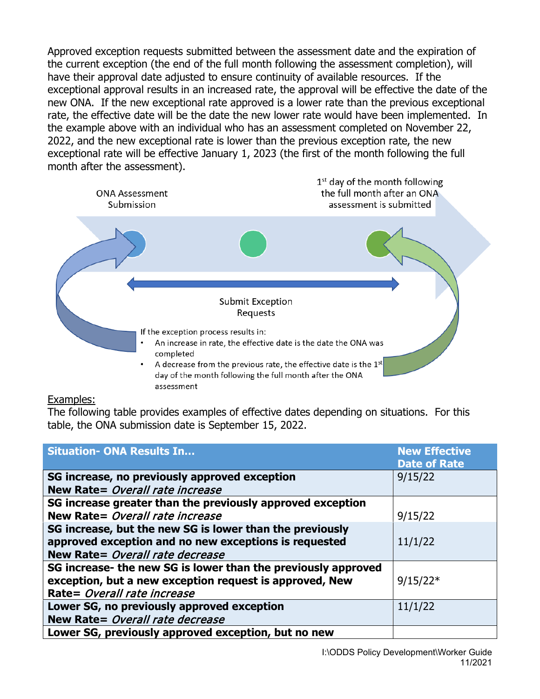Approved exception requests submitted between the assessment date and the expiration of the current exception (the end of the full month following the assessment completion), will have their approval date adjusted to ensure continuity of available resources. If the exceptional approval results in an increased rate, the approval will be effective the date of the new ONA. If the new exceptional rate approved is a lower rate than the previous exceptional rate, the effective date will be the date the new lower rate would have been implemented. In the example above with an individual who has an assessment completed on November 22, 2022, and the new exceptional rate is lower than the previous exception rate, the new exceptional rate will be effective January 1, 2023 (the first of the month following the full month after the assessment).



#### Examples:

The following table provides examples of effective dates depending on situations. For this table, the ONA submission date is September 15, 2022.

| <b>Situation- ONA Results In</b>                                                                                                                        | <b>New Effective</b><br><b>Date of Rate</b> |
|---------------------------------------------------------------------------------------------------------------------------------------------------------|---------------------------------------------|
| SG increase, no previously approved exception                                                                                                           | 9/15/22                                     |
| New Rate= Overall rate increase                                                                                                                         |                                             |
| SG increase greater than the previously approved exception                                                                                              |                                             |
| New Rate= Overall rate increase                                                                                                                         | 9/15/22                                     |
| SG increase, but the new SG is lower than the previously<br>approved exception and no new exceptions is requested<br>New Rate= Overall rate decrease    | 11/1/22                                     |
| SG increase- the new SG is lower than the previously approved<br>exception, but a new exception request is approved, New<br>Rate= Overall rate increase | $9/15/22*$                                  |
| Lower SG, no previously approved exception<br>New Rate= Overall rate decrease                                                                           | 11/1/22                                     |
| Lower SG, previously approved exception, but no new                                                                                                     |                                             |